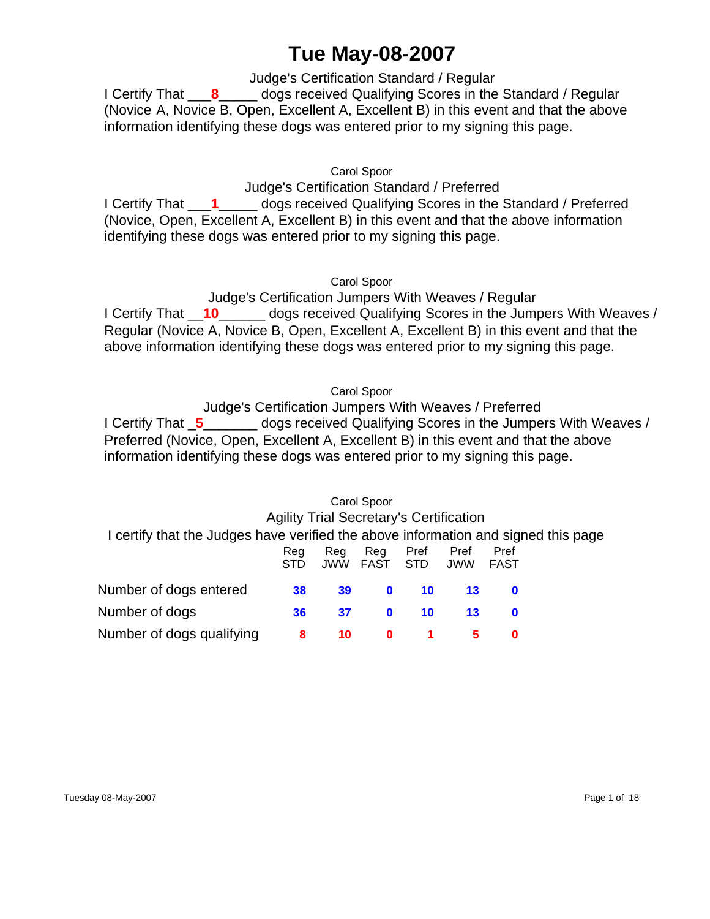# **Tue May-08-2007**

Judge's Certification Standard / Regular

 I Certify That \_\_\_**8**\_\_\_\_\_ dogs received Qualifying Scores in the Standard / Regular (Novice A, Novice B, Open, Excellent A, Excellent B) in this event and that the above information identifying these dogs was entered prior to my signing this page.

Carol Spoor

Judge's Certification Standard / Preferred I Certify That \_\_\_**1**\_\_\_\_\_ dogs received Qualifying Scores in the Standard / Preferred (Novice, Open, Excellent A, Excellent B) in this event and that the above information identifying these dogs was entered prior to my signing this page.

Carol Spoor

Judge's Certification Jumpers With Weaves / Regular I Certify That \_\_**10**\_\_\_\_\_\_ dogs received Qualifying Scores in the Jumpers With Weaves / Regular (Novice A, Novice B, Open, Excellent A, Excellent B) in this event and that the above information identifying these dogs was entered prior to my signing this page.

Carol Spoor

Judge's Certification Jumpers With Weaves / Preferred I Certify That \_**5**\_\_\_\_\_\_\_ dogs received Qualifying Scores in the Jumpers With Weaves / Preferred (Novice, Open, Excellent A, Excellent B) in this event and that the above information identifying these dogs was entered prior to my signing this page.

# Carol Spoor Agility Trial Secretary's Certification I certify that the Judges have verified the above information and signed this page Reg Reg Reg Pref Pref Pref STD JWW FAST STD JWW FAST Number of dogs entered **38 39 0 10 13 0** Number of dogs **36 37 0 10 13 0** Number of dogs qualifying **8 10 0 1 5 0**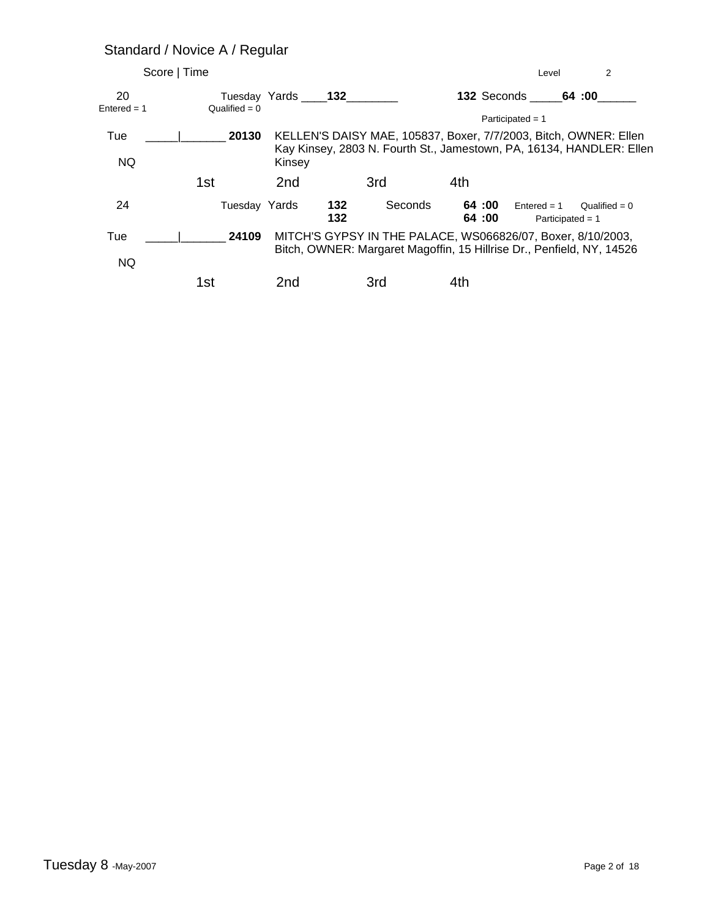# Standard / Novice A / Regular

| Score   Time        |                 |                 |                       |                                                                                                                                          | Level                               | 2               |
|---------------------|-----------------|-----------------|-----------------------|------------------------------------------------------------------------------------------------------------------------------------------|-------------------------------------|-----------------|
| 20<br>$Entered = 1$ | Qualified = $0$ |                 | Tuesday Yards 132     |                                                                                                                                          | <b>132 Seconds</b> 64:00            |                 |
|                     |                 |                 |                       |                                                                                                                                          | Participated = $1$                  |                 |
| Tue                 | 20130           |                 |                       | KELLEN'S DAISY MAE, 105837, Boxer, 7/7/2003, Bitch, OWNER: Ellen<br>Kay Kinsey, 2803 N. Fourth St., Jamestown, PA, 16134, HANDLER: Ellen |                                     |                 |
| NQ.                 |                 | Kinsey          |                       |                                                                                                                                          |                                     |                 |
|                     | 1st             | 2 <sub>nd</sub> | 3rd                   | 4th                                                                                                                                      |                                     |                 |
| 24                  | Tuesday Yards   |                 | 132<br>Seconds<br>132 | 64 :00<br>64:00                                                                                                                          | $Entered = 1$<br>Participated $= 1$ | Qualified = $0$ |
| Tue                 | 24109           |                 |                       | MITCH'S GYPSY IN THE PALACE, WS066826/07, Boxer, 8/10/2003,<br>Bitch, OWNER: Margaret Magoffin, 15 Hillrise Dr., Penfield, NY, 14526     |                                     |                 |
| NQ.                 |                 |                 |                       |                                                                                                                                          |                                     |                 |
|                     | 1st             | 2nd             | 3rd                   | 4th                                                                                                                                      |                                     |                 |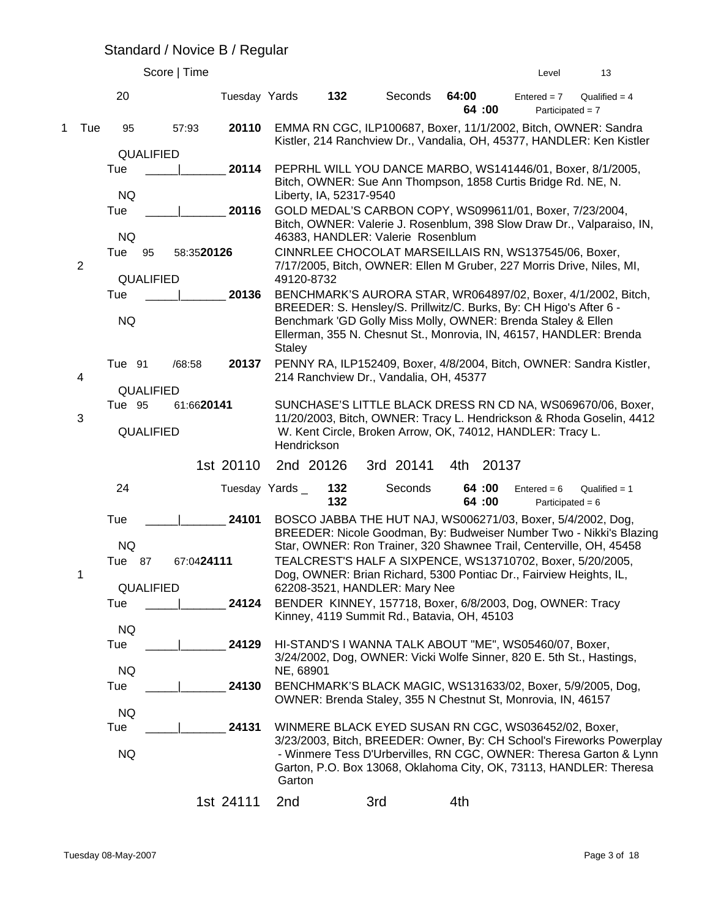#### Standard / Novice B / Regular

|             |                |                                            | Score   Time |                |                             |                         |                                                                                                                                                                                                                                                                                                         |                  | Level                               | 13                                                                                                                                                                                                                |
|-------------|----------------|--------------------------------------------|--------------|----------------|-----------------------------|-------------------------|---------------------------------------------------------------------------------------------------------------------------------------------------------------------------------------------------------------------------------------------------------------------------------------------------------|------------------|-------------------------------------|-------------------------------------------------------------------------------------------------------------------------------------------------------------------------------------------------------------------|
|             |                | 20                                         |              | Tuesday Yards  |                             | 132                     | Seconds                                                                                                                                                                                                                                                                                                 | 64:00<br>64 :00  | $Entered = 7$<br>Participated = $7$ | Qualified $= 4$                                                                                                                                                                                                   |
| $\mathbf 1$ | Tue            | 95                                         | 57:93        | 20110          |                             |                         | EMMA RN CGC, ILP100687, Boxer, 11/1/2002, Bitch, OWNER: Sandra                                                                                                                                                                                                                                          |                  |                                     | Kistler, 214 Ranchview Dr., Vandalia, OH, 45377, HANDLER: Ken Kistler                                                                                                                                             |
|             |                | <b>QUALIFIED</b><br>Tue<br><b>NQ</b>       |              | 20114          |                             | Liberty, IA, 52317-9540 | PEPRHL WILL YOU DANCE MARBO, WS141446/01, Boxer, 8/1/2005,<br>Bitch, OWNER: Sue Ann Thompson, 1858 Curtis Bridge Rd. NE, N.                                                                                                                                                                             |                  |                                     |                                                                                                                                                                                                                   |
|             |                | Tue<br><b>NQ</b>                           |              | 20116          |                             |                         | GOLD MEDAL'S CARBON COPY, WS099611/01, Boxer, 7/23/2004,                                                                                                                                                                                                                                                |                  |                                     | Bitch, OWNER: Valerie J. Rosenblum, 398 Slow Draw Dr., Valparaiso, IN,                                                                                                                                            |
|             | $\overline{2}$ | Tue<br>95                                  | 58:3520126   |                |                             |                         | 46383, HANDLER: Valerie Rosenblum<br>CINNRLEE CHOCOLAT MARSEILLAIS RN, WS137545/06, Boxer,<br>7/17/2005, Bitch, OWNER: Ellen M Gruber, 227 Morris Drive, Niles, MI,                                                                                                                                     |                  |                                     |                                                                                                                                                                                                                   |
|             |                | <b>QUALIFIED</b><br>Tue<br><b>NQ</b>       |              | 20136          | 49120-8732<br><b>Staley</b> |                         | BREEDER: S. Hensley/S. Prillwitz/C. Burks, By: CH Higo's After 6 -<br>Benchmark 'GD Golly Miss Molly, OWNER: Brenda Staley & Ellen<br>Ellerman, 355 N. Chesnut St., Monrovia, IN, 46157, HANDLER: Brenda                                                                                                |                  |                                     | BENCHMARK'S AURORA STAR, WR064897/02, Boxer, 4/1/2002, Bitch,                                                                                                                                                     |
|             | 4              | Tue 91                                     | /68:58       | 20137          |                             |                         | 214 Ranchview Dr., Vandalia, OH, 45377                                                                                                                                                                                                                                                                  |                  |                                     | PENNY RA, ILP152409, Boxer, 4/8/2004, Bitch, OWNER: Sandra Kistler,                                                                                                                                               |
|             | 3              | <b>QUALIFIED</b><br>Tue 95<br>QUALIFIED    | 61:6620141   |                | Hendrickson                 |                         | W. Kent Circle, Broken Arrow, OK, 74012, HANDLER: Tracy L.                                                                                                                                                                                                                                              |                  |                                     | SUNCHASE'S LITTLE BLACK DRESS RN CD NA, WS069670/06, Boxer,<br>11/20/2003, Bitch, OWNER: Tracy L. Hendrickson & Rhoda Goselin, 4412                                                                               |
|             |                |                                            |              | 1st 20110      | 2nd 20126                   |                         | 3rd 20141                                                                                                                                                                                                                                                                                               | 4th 20137        |                                     |                                                                                                                                                                                                                   |
|             |                | 24                                         |              | Tuesday Yards_ |                             | 132<br>132              | Seconds                                                                                                                                                                                                                                                                                                 | 64 :00<br>64 :00 | $Entered = 6$<br>Participated = $6$ | Qualified $= 1$                                                                                                                                                                                                   |
|             | 1              | Tue<br><b>NQ</b><br>Tue<br>87<br>QUALIFIED | 67:0424111   | 24101          |                             |                         | BOSCO JABBA THE HUT NAJ, WS006271/03, Boxer, 5/4/2002, Dog,<br>Star, OWNER: Ron Trainer, 320 Shawnee Trail, Centerville, OH, 45458<br>TEALCREST'S HALF A SIXPENCE, WS13710702, Boxer, 5/20/2005,<br>Dog, OWNER: Brian Richard, 5300 Pontiac Dr., Fairview Heights, IL,<br>62208-3521, HANDLER: Mary Nee |                  |                                     | BREEDER: Nicole Goodman, By: Budweiser Number Two - Nikki's Blazing                                                                                                                                               |
|             |                | Tue<br><b>NQ</b>                           |              | 24124          |                             |                         | BENDER KINNEY, 157718, Boxer, 6/8/2003, Dog, OWNER: Tracy<br>Kinney, 4119 Summit Rd., Batavia, OH, 45103                                                                                                                                                                                                |                  |                                     |                                                                                                                                                                                                                   |
|             |                | Tue<br><b>NQ</b>                           |              | 24129          | NE, 68901                   |                         | HI-STAND'S I WANNA TALK ABOUT "ME", WS05460/07, Boxer,<br>3/24/2002, Dog, OWNER: Vicki Wolfe Sinner, 820 E. 5th St., Hastings,                                                                                                                                                                          |                  |                                     |                                                                                                                                                                                                                   |
|             |                | Tue<br><b>NQ</b>                           |              | 24130          |                             |                         | BENCHMARK'S BLACK MAGIC, WS131633/02, Boxer, 5/9/2005, Dog,<br>OWNER: Brenda Staley, 355 N Chestnut St, Monrovia, IN, 46157                                                                                                                                                                             |                  |                                     |                                                                                                                                                                                                                   |
|             |                | Tue<br><b>NQ</b>                           |              | 24131          | Garton                      |                         | WINMERE BLACK EYED SUSAN RN CGC, WS036452/02, Boxer,                                                                                                                                                                                                                                                    |                  |                                     | 3/23/2003, Bitch, BREEDER: Owner, By: CH School's Fireworks Powerplay<br>- Winmere Tess D'Urbervilles, RN CGC, OWNER: Theresa Garton & Lynn<br>Garton, P.O. Box 13068, Oklahoma City, OK, 73113, HANDLER: Theresa |
|             |                |                                            |              | 1st 24111      | 2nd                         |                         | 3rd                                                                                                                                                                                                                                                                                                     | 4th              |                                     |                                                                                                                                                                                                                   |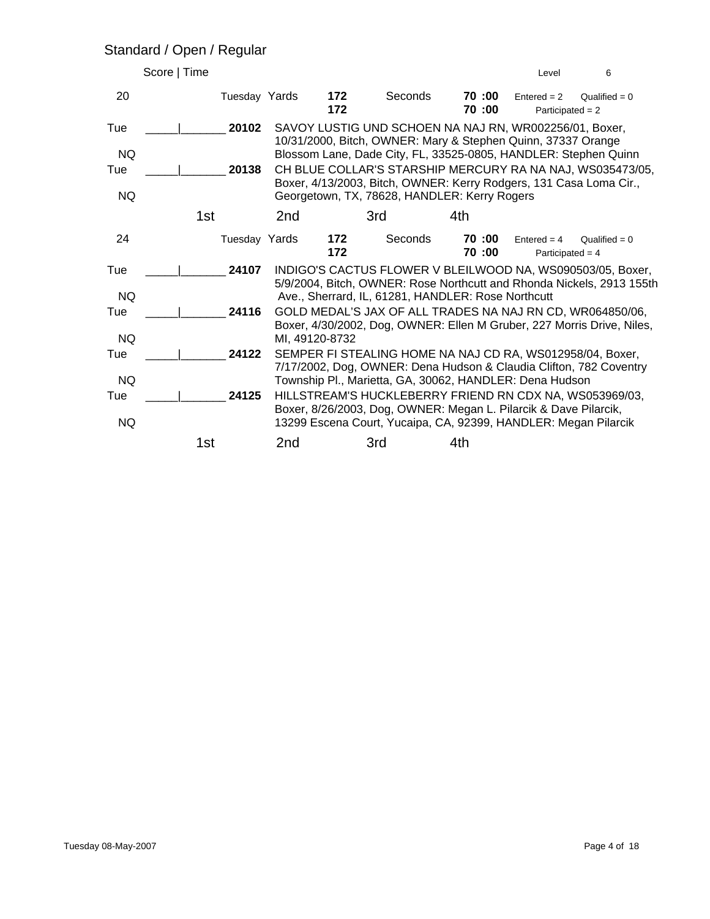#### Standard / Open / Regular

| Score   Time |               |                 |                |                                                                                                                                     |                | Level                               | 6                                                                      |
|--------------|---------------|-----------------|----------------|-------------------------------------------------------------------------------------------------------------------------------------|----------------|-------------------------------------|------------------------------------------------------------------------|
| 20           | Tuesday Yards |                 | 172<br>172     | Seconds                                                                                                                             | 70:00<br>70:00 | $Entered = 2$<br>Participated = $2$ | Qualified = $0$                                                        |
| Tue          | 20102         |                 |                | SAVOY LUSTIG UND SCHOEN NA NAJ RN, WR002256/01, Boxer,<br>10/31/2000, Bitch, OWNER: Mary & Stephen Quinn, 37337 Orange              |                |                                     |                                                                        |
| <b>NQ</b>    |               |                 |                | Blossom Lane, Dade City, FL, 33525-0805, HANDLER: Stephen Quinn                                                                     |                |                                     |                                                                        |
| Tue          | 20138         |                 |                |                                                                                                                                     |                |                                     | CH BLUE COLLAR'S STARSHIP MERCURY RA NA NAJ, WS035473/05,              |
| <b>NQ</b>    |               |                 |                | Boxer, 4/13/2003, Bitch, OWNER: Kerry Rodgers, 131 Casa Loma Cir.,<br>Georgetown, TX, 78628, HANDLER: Kerry Rogers                  |                |                                     |                                                                        |
|              | 1st           | 2nd             |                | 3rd                                                                                                                                 | 4th            |                                     |                                                                        |
| 24           | Tuesday Yards |                 | 172<br>172     | Seconds                                                                                                                             | 70:00<br>70:00 | $Entered = 4$<br>Participated = $4$ | Qualified = $0$                                                        |
| Tue          | 24107         |                 |                |                                                                                                                                     |                |                                     | INDIGO'S CACTUS FLOWER V BLEILWOOD NA, WS090503/05, Boxer,             |
| <b>NQ</b>    |               |                 |                | Ave., Sherrard, IL, 61281, HANDLER: Rose Northcutt                                                                                  |                |                                     | 5/9/2004, Bitch, OWNER: Rose Northcutt and Rhonda Nickels, 2913 155th  |
| Tue          | 24116         |                 |                |                                                                                                                                     |                |                                     | GOLD MEDAL'S JAX OF ALL TRADES NA NAJ RN CD, WR064850/06,              |
| <b>NQ</b>    |               |                 | MI, 49120-8732 |                                                                                                                                     |                |                                     | Boxer, 4/30/2002, Dog, OWNER: Ellen M Gruber, 227 Morris Drive, Niles, |
| Tue          | 24122         |                 |                | SEMPER FI STEALING HOME NA NAJ CD RA, WS012958/04, Boxer,                                                                           |                |                                     |                                                                        |
| <b>NQ</b>    |               |                 |                | Township Pl., Marietta, GA, 30062, HANDLER: Dena Hudson                                                                             |                |                                     | 7/17/2002, Dog, OWNER: Dena Hudson & Claudia Clifton, 782 Coventry     |
| Tue          | 24125         |                 |                |                                                                                                                                     |                |                                     | HILLSTREAM'S HUCKLEBERRY FRIEND RN CDX NA, WS053969/03,                |
| <b>NQ</b>    |               |                 |                | Boxer, 8/26/2003, Dog, OWNER: Megan L. Pilarcik & Dave Pilarcik,<br>13299 Escena Court, Yucaipa, CA, 92399, HANDLER: Megan Pilarcik |                |                                     |                                                                        |
|              | 1st           | 2 <sub>nd</sub> |                | 3rd                                                                                                                                 | 4th            |                                     |                                                                        |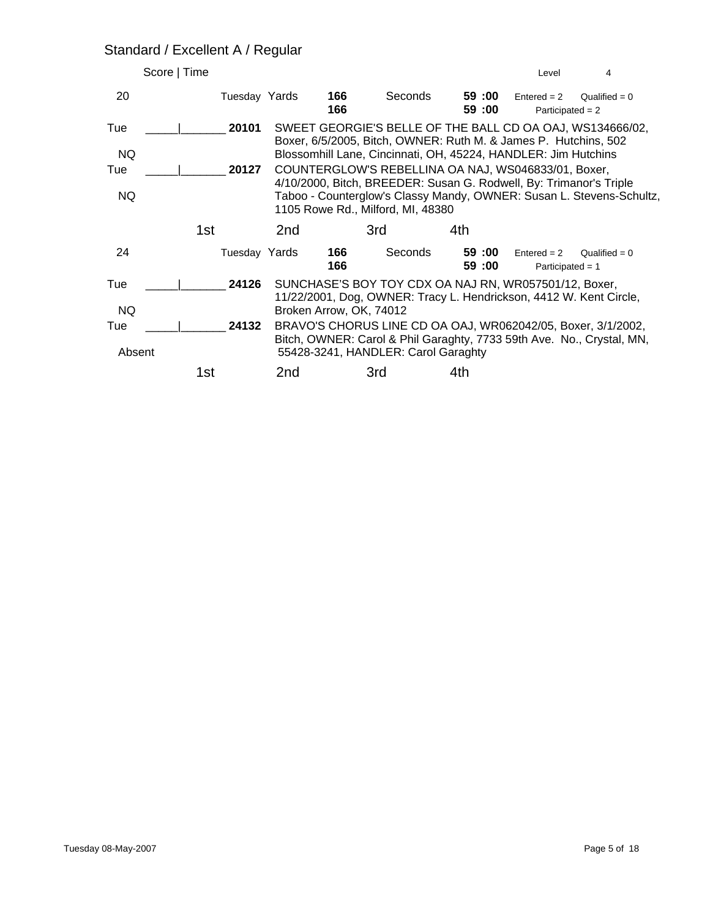#### Standard / Excellent A / Regular

| Score   Time |               |                         |            |                                                                                                                              |                | Level                               | 4                                                                     |
|--------------|---------------|-------------------------|------------|------------------------------------------------------------------------------------------------------------------------------|----------------|-------------------------------------|-----------------------------------------------------------------------|
| 20           | Tuesday Yards |                         | 166<br>166 | Seconds                                                                                                                      | 59:00<br>59:00 | $Entered = 2$<br>Participated $= 2$ | Qualified = $0$                                                       |
| Tue          | 20101         |                         |            | SWEET GEORGIE'S BELLE OF THE BALL CD OA OAJ, WS134666/02,<br>Boxer, 6/5/2005, Bitch, OWNER: Ruth M. & James P. Hutchins, 502 |                |                                     |                                                                       |
| NQ.          |               |                         |            | Blossomhill Lane, Cincinnati, OH, 45224, HANDLER: Jim Hutchins                                                               |                |                                     |                                                                       |
| Tue          | 20127         |                         |            | COUNTERGLOW'S REBELLINA OA NAJ, WS046833/01, Boxer,                                                                          |                |                                     |                                                                       |
| <b>NQ</b>    |               |                         |            | 4/10/2000, Bitch, BREEDER: Susan G. Rodwell, By: Trimanor's Triple<br>1105 Rowe Rd., Milford, MI, 48380                      |                |                                     | Taboo - Counterglow's Classy Mandy, OWNER: Susan L. Stevens-Schultz,  |
|              | 1st           | 2nd                     |            | 3rd                                                                                                                          | 4th            |                                     |                                                                       |
| 24           | Tuesday Yards |                         | 166<br>166 | Seconds                                                                                                                      | 59:00<br>59:00 | $Entered = 2$<br>Participated = $1$ | Qualified = $0$                                                       |
| Tue          | 24126         |                         |            | SUNCHASE'S BOY TOY CDX OA NAJ RN, WR057501/12, Boxer,<br>11/22/2001, Dog, OWNER: Tracy L. Hendrickson, 4412 W. Kent Circle,  |                |                                     |                                                                       |
| NQ.          |               | Broken Arrow, OK, 74012 |            |                                                                                                                              |                |                                     |                                                                       |
| Tue          | 24132         |                         |            | BRAVO'S CHORUS LINE CD OA OAJ, WR062042/05, Boxer, 3/1/2002,                                                                 |                |                                     |                                                                       |
| Absent       |               |                         |            | 55428-3241, HANDLER: Carol Garaghty                                                                                          |                |                                     | Bitch, OWNER: Carol & Phil Garaghty, 7733 59th Ave. No., Crystal, MN, |
|              | 1st           | 2nd                     |            | 3rd                                                                                                                          | 4th            |                                     |                                                                       |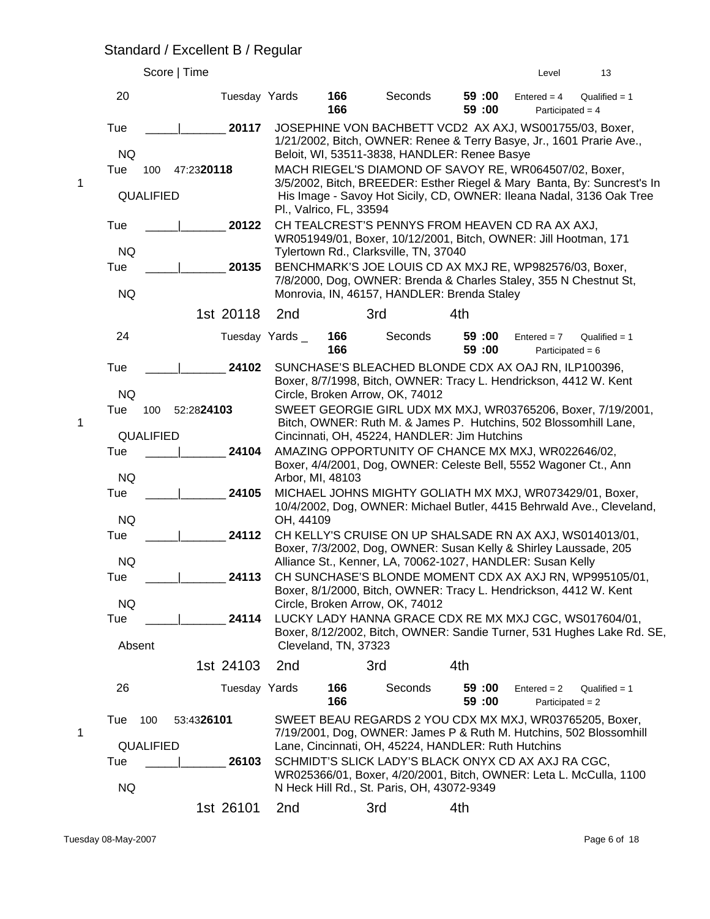#### Standard / Excellent B / Regular

|   |                                | Score   Time        |                 |                         |                                                                                                                                                                                                                                           |                  | Level                               | 13                                                                                                                                              |
|---|--------------------------------|---------------------|-----------------|-------------------------|-------------------------------------------------------------------------------------------------------------------------------------------------------------------------------------------------------------------------------------------|------------------|-------------------------------------|-------------------------------------------------------------------------------------------------------------------------------------------------|
|   | 20                             | Tuesday Yards       |                 | 166<br>166              | Seconds                                                                                                                                                                                                                                   | 59:00<br>59 :00  | $Entered = 4$<br>Participated = $4$ | Qualified $= 1$                                                                                                                                 |
|   | Tue<br><b>NQ</b><br>Tue<br>100 | 20117<br>47:2320118 |                 |                         | JOSEPHINE VON BACHBETT VCD2 AX AXJ, WS001755/03, Boxer,<br>1/21/2002, Bitch, OWNER: Renee & Terry Basye, Jr., 1601 Prarie Ave.,<br>Beloit, WI, 53511-3838, HANDLER: Renee Basye<br>MACH RIEGEL'S DIAMOND OF SAVOY RE, WR064507/02, Boxer, |                  |                                     |                                                                                                                                                 |
| 1 | QUALIFIED                      |                     |                 | Pl., Valrico, FL, 33594 |                                                                                                                                                                                                                                           |                  |                                     | 3/5/2002, Bitch, BREEDER: Esther Riegel & Mary Banta, By: Suncrest's In<br>His Image - Savoy Hot Sicily, CD, OWNER: Ileana Nadal, 3136 Oak Tree |
|   | Tue<br><b>NQ</b>               | 20122               |                 |                         | CH TEALCREST'S PENNYS FROM HEAVEN CD RA AX AXJ,<br>WR051949/01, Boxer, 10/12/2001, Bitch, OWNER: Jill Hootman, 171<br>Tylertown Rd., Clarksville, TN, 37040                                                                               |                  |                                     |                                                                                                                                                 |
|   | Tue<br><b>NQ</b>               | 20135               |                 |                         | BENCHMARK'S JOE LOUIS CD AX MXJ RE, WP982576/03, Boxer,<br>7/8/2000, Dog, OWNER: Brenda & Charles Staley, 355 N Chestnut St,<br>Monrovia, IN, 46157, HANDLER: Brenda Staley                                                               |                  |                                     |                                                                                                                                                 |
|   |                                | 1st 20118           | 2nd             |                         | 3rd                                                                                                                                                                                                                                       | 4th              |                                     |                                                                                                                                                 |
|   | 24                             |                     | Tuesday Yards_  | 166<br>166              | Seconds                                                                                                                                                                                                                                   | 59 :00<br>59 :00 | $Entered = 7$<br>Participated = $6$ | Qualified $= 1$                                                                                                                                 |
|   | Tue<br><b>NQ</b>               | 24102               |                 |                         | SUNCHASE'S BLEACHED BLONDE CDX AX OAJ RN, ILP100396,<br>Boxer, 8/7/1998, Bitch, OWNER: Tracy L. Hendrickson, 4412 W. Kent<br>Circle, Broken Arrow, OK, 74012                                                                              |                  |                                     |                                                                                                                                                 |
| 1 | Tue<br>100<br>QUALIFIED        | 52:2824103          |                 |                         | Bitch, OWNER: Ruth M. & James P. Hutchins, 502 Blossomhill Lane,<br>Cincinnati, OH, 45224, HANDLER: Jim Hutchins                                                                                                                          |                  |                                     | SWEET GEORGIE GIRL UDX MX MXJ, WR03765206, Boxer, 7/19/2001,                                                                                    |
|   | Tue<br><b>NQ</b>               | 24104               |                 | Arbor, MI, 48103        | AMAZING OPPORTUNITY OF CHANCE MX MXJ, WR022646/02,<br>Boxer, 4/4/2001, Dog, OWNER: Celeste Bell, 5552 Wagoner Ct., Ann                                                                                                                    |                  |                                     |                                                                                                                                                 |
|   | Tue<br><b>NQ</b>               | 24105               | OH, 44109       |                         | MICHAEL JOHNS MIGHTY GOLIATH MX MXJ, WR073429/01, Boxer,                                                                                                                                                                                  |                  |                                     | 10/4/2002, Dog, OWNER: Michael Butler, 4415 Behrwald Ave., Cleveland,                                                                           |
|   | Tue<br><b>NQ</b>               | 24112               |                 |                         | CH KELLY'S CRUISE ON UP SHALSADE RN AX AXJ, WS014013/01,<br>Boxer, 7/3/2002, Dog, OWNER: Susan Kelly & Shirley Laussade, 205<br>Alliance St., Kenner, LA, 70062-1027, HANDLER: Susan Kelly                                                |                  |                                     |                                                                                                                                                 |
|   | Tue                            | 24113               |                 |                         | CH SUNCHASE'S BLONDE MOMENT CDX AX AXJ RN, WP995105/01,<br>Boxer, 8/1/2000, Bitch, OWNER: Tracy L. Hendrickson, 4412 W. Kent                                                                                                              |                  |                                     |                                                                                                                                                 |
|   | <b>NQ</b><br>Tue<br>Absent     | 24114               |                 | Cleveland, TN, 37323    | Circle, Broken Arrow, OK, 74012<br>LUCKY LADY HANNA GRACE CDX RE MX MXJ CGC, WS017604/01,                                                                                                                                                 |                  |                                     | Boxer, 8/12/2002, Bitch, OWNER: Sandie Turner, 531 Hughes Lake Rd. SE,                                                                          |
|   |                                | 1st 24103           | 2 <sub>nd</sub> |                         | 3rd                                                                                                                                                                                                                                       | 4th              |                                     |                                                                                                                                                 |
|   | 26                             | Tuesday Yards       |                 | 166<br>166              | Seconds                                                                                                                                                                                                                                   | 59:00<br>59 :00  | $Entered = 2$<br>Participated = $2$ | Qualified $= 1$                                                                                                                                 |
| 1 | Tue<br>100<br><b>QUALIFIED</b> | 53:4326101          |                 |                         | SWEET BEAU REGARDS 2 YOU CDX MX MXJ, WR03765205, Boxer,<br>7/19/2001, Dog, OWNER: James P & Ruth M. Hutchins, 502 Blossomhill<br>Lane, Cincinnati, OH, 45224, HANDLER: Ruth Hutchins                                                      |                  |                                     |                                                                                                                                                 |
|   | Tue<br><b>NQ</b>               | 26103               |                 |                         | SCHMIDT'S SLICK LADY'S BLACK ONYX CD AX AXJ RA CGC,<br>WR025366/01, Boxer, 4/20/2001, Bitch, OWNER: Leta L. McCulla, 1100<br>N Heck Hill Rd., St. Paris, OH, 43072-9349                                                                   |                  |                                     |                                                                                                                                                 |
|   |                                | 1st 26101           | 2nd             |                         | 3rd                                                                                                                                                                                                                                       | 4th              |                                     |                                                                                                                                                 |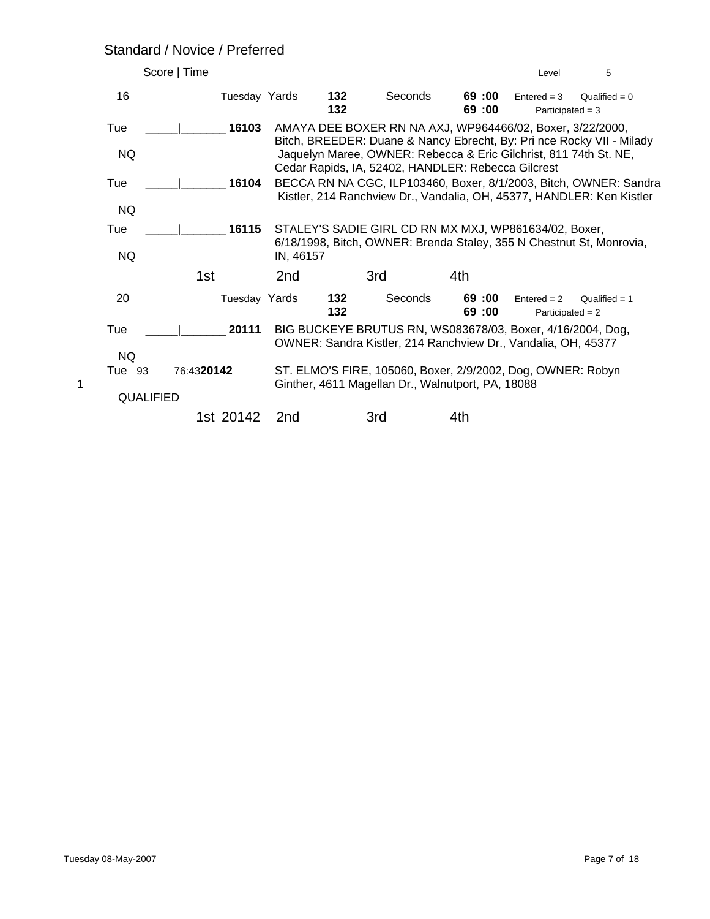#### Standard / Novice / Preferred

| Score   Time             |               |                 |            |                                                                                                                             |                | Level                               | 5                                                                                                                                          |
|--------------------------|---------------|-----------------|------------|-----------------------------------------------------------------------------------------------------------------------------|----------------|-------------------------------------|--------------------------------------------------------------------------------------------------------------------------------------------|
| 16                       | Tuesday Yards |                 | 132<br>132 | Seconds                                                                                                                     | 69:00<br>69:00 | $Entered = 3$<br>Participated $=$ 3 | Qualified = $0$                                                                                                                            |
| Tue                      | 16103         |                 |            | AMAYA DEE BOXER RN NA AXJ, WP964466/02, Boxer, 3/22/2000,                                                                   |                |                                     |                                                                                                                                            |
| <b>NQ</b>                |               |                 |            | Jaquelyn Maree, OWNER: Rebecca & Eric Gilchrist, 811 74th St. NE,<br>Cedar Rapids, IA, 52402, HANDLER: Rebecca Gilcrest     |                |                                     | Bitch, BREEDER: Duane & Nancy Ebrecht, By: Pri nce Rocky VII - Milady                                                                      |
| Tue                      | 16104         |                 |            |                                                                                                                             |                |                                     | BECCA RN NA CGC, ILP103460, Boxer, 8/1/2003, Bitch, OWNER: Sandra<br>Kistler, 214 Ranchview Dr., Vandalia, OH, 45377, HANDLER: Ken Kistler |
| <b>NQ</b>                |               |                 |            |                                                                                                                             |                |                                     |                                                                                                                                            |
| Tue                      | 16115         |                 |            | STALEY'S SADIE GIRL CD RN MX MXJ, WP861634/02, Boxer,                                                                       |                |                                     |                                                                                                                                            |
| <b>NQ</b>                |               | IN, 46157       |            |                                                                                                                             |                |                                     | 6/18/1998, Bitch, OWNER: Brenda Staley, 355 N Chestnut St, Monrovia,                                                                       |
|                          | 1st           | 2 <sub>nd</sub> |            | 3rd                                                                                                                         | 4th            |                                     |                                                                                                                                            |
| 20                       | Tuesday Yards |                 | 132<br>132 | Seconds                                                                                                                     | 69:00<br>69:00 | $Entered = 2$<br>Participated $= 2$ | Qualified $= 1$                                                                                                                            |
| Tue<br><b>NQ</b>         | 20111         |                 |            | BIG BUCKEYE BRUTUS RN, WS083678/03, Boxer, 4/16/2004, Dog,<br>OWNER: Sandra Kistler, 214 Ranchview Dr., Vandalia, OH, 45377 |                |                                     |                                                                                                                                            |
| Tue 93<br>1<br>QUALIFIED | 76:4320142    |                 |            | ST. ELMO'S FIRE, 105060, Boxer, 2/9/2002, Dog, OWNER: Robyn<br>Ginther, 4611 Magellan Dr., Walnutport, PA, 18088            |                |                                     |                                                                                                                                            |
|                          | 1st 20142     | 2 <sub>nd</sub> |            | 3rd                                                                                                                         | 4th            |                                     |                                                                                                                                            |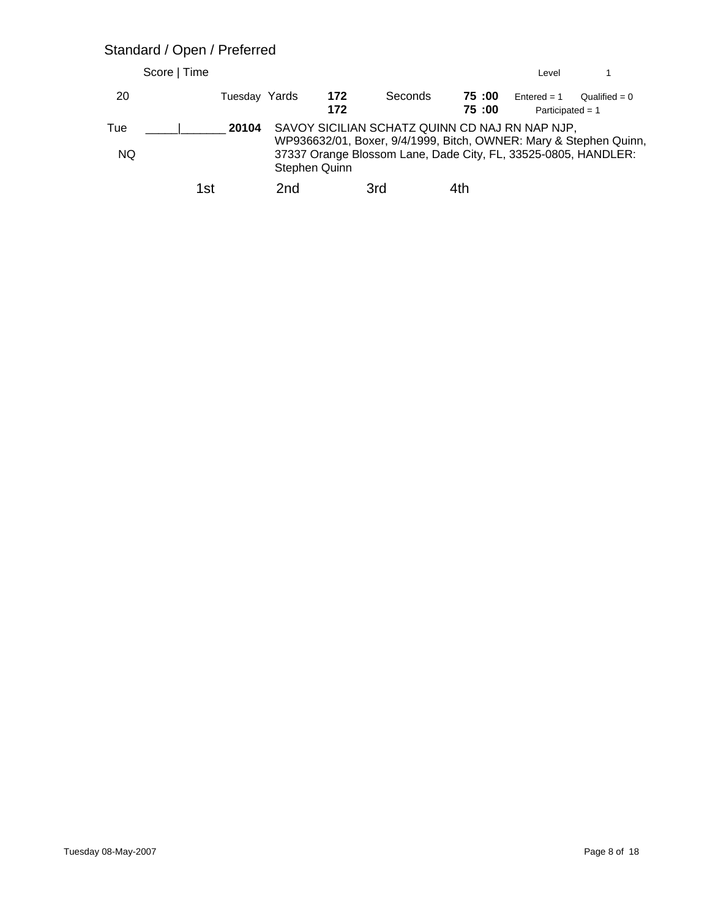#### Standard / Open / Preferred

|            | Score   Time  |     |               |                                                                                                                                                                                       |                | Level                               |                 |
|------------|---------------|-----|---------------|---------------------------------------------------------------------------------------------------------------------------------------------------------------------------------------|----------------|-------------------------------------|-----------------|
| 20         | Tuesday Yards |     | 172<br>172    | Seconds                                                                                                                                                                               | 75:00<br>75:00 | $Entered = 1$<br>Participated = $1$ | Qualified = $0$ |
| Tue<br>NQ. | 20104         |     | Stephen Quinn | SAVOY SICILIAN SCHATZ QUINN CD NAJ RN NAP NJP,<br>WP936632/01, Boxer, 9/4/1999, Bitch, OWNER: Mary & Stephen Quinn,<br>37337 Orange Blossom Lane, Dade City, FL, 33525-0805, HANDLER: |                |                                     |                 |
|            | 1st           | 2nd |               | 3rd                                                                                                                                                                                   | 4th            |                                     |                 |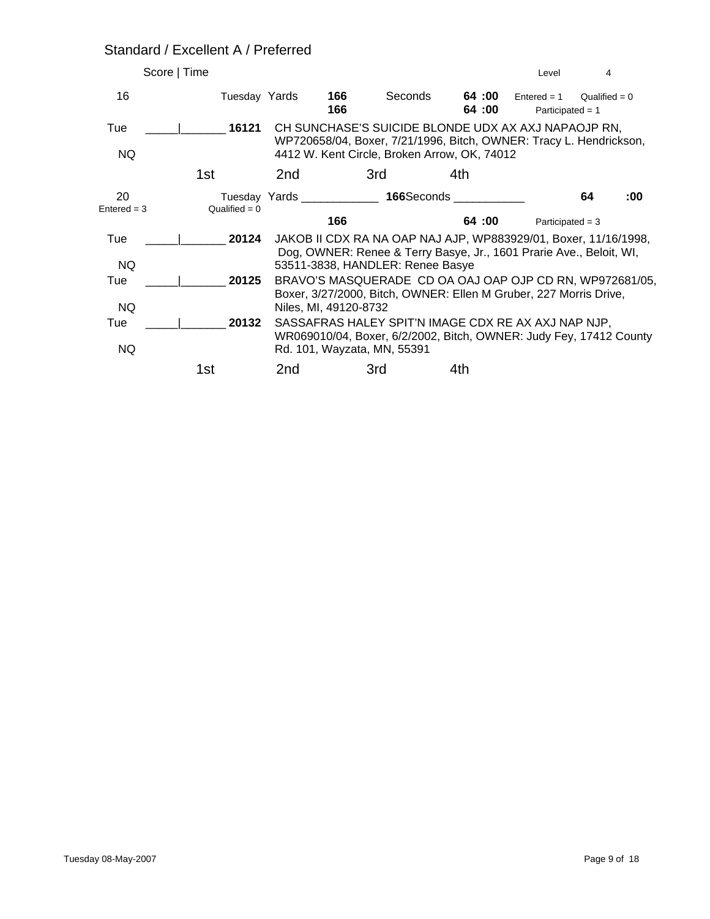#### Standard / Excellent A / Preferred

| Score   Time        |                 |                       |            |                                  |                                                                                                                           | Level                               | 4               |     |
|---------------------|-----------------|-----------------------|------------|----------------------------------|---------------------------------------------------------------------------------------------------------------------------|-------------------------------------|-----------------|-----|
| 16                  | Tuesday Yards   |                       | 166<br>166 | Seconds                          | 64 :00<br>64:00                                                                                                           | $Entered = 1$<br>Participated = $1$ | Qualified = $0$ |     |
| Tue                 | 16121           |                       |            |                                  | CH SUNCHASE'S SUICIDE BLONDE UDX AX AXJ NAPAOJP RN,                                                                       |                                     |                 |     |
| NQ.                 |                 |                       |            |                                  | WP720658/04, Boxer, 7/21/1996, Bitch, OWNER: Tracy L. Hendrickson,<br>4412 W. Kent Circle, Broken Arrow, OK, 74012        |                                     |                 |     |
|                     | 1st             | 2nd                   |            | 3rd                              | 4th                                                                                                                       |                                     |                 |     |
| 20<br>$Entered = 3$ | Qualified = $0$ |                       |            |                                  | Tuesday Yards 166Seconds 1997                                                                                             |                                     | 64              | :00 |
|                     |                 |                       | 166        |                                  | 64:00                                                                                                                     | Participated = $3$                  |                 |     |
| Tue                 | 20124           |                       |            |                                  | JAKOB II CDX RA NA OAP NAJ AJP, WP883929/01, Boxer, 11/16/1998,                                                           |                                     |                 |     |
| NQ.                 |                 |                       |            | 53511-3838, HANDLER: Renee Basye | Dog, OWNER: Renee & Terry Basye, Jr., 1601 Prarie Ave., Beloit, WI,                                                       |                                     |                 |     |
| Tue                 | 20125           |                       |            |                                  | BRAVO'S MASQUERADE CD OA OAJ OAP OJP CD RN, WP972681/05,                                                                  |                                     |                 |     |
|                     |                 |                       |            |                                  | Boxer, 3/27/2000, Bitch, OWNER: Ellen M Gruber, 227 Morris Drive,                                                         |                                     |                 |     |
| NQ.                 |                 | Niles, MI, 49120-8732 |            |                                  |                                                                                                                           |                                     |                 |     |
| Tue                 | 20132           |                       |            |                                  | SASSAFRAS HALEY SPIT'N IMAGE CDX RE AX AXJ NAP NJP,<br>WR069010/04, Boxer, 6/2/2002, Bitch, OWNER: Judy Fey, 17412 County |                                     |                 |     |
| NQ                  |                 |                       |            | Rd. 101, Wayzata, MN, 55391      |                                                                                                                           |                                     |                 |     |
|                     | 1st             | 2nd                   |            | 3rd                              | 4th                                                                                                                       |                                     |                 |     |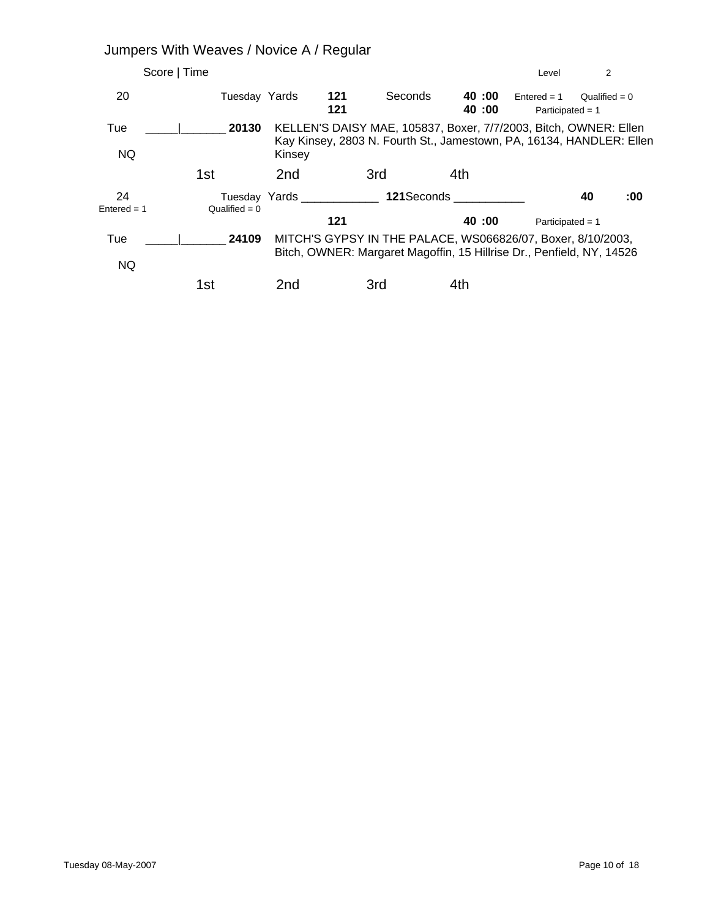|                     | Jumpers With Weaves / Novice A / Regular |                 |                       |                                                                                                                                          |                |                                     |                 |     |
|---------------------|------------------------------------------|-----------------|-----------------------|------------------------------------------------------------------------------------------------------------------------------------------|----------------|-------------------------------------|-----------------|-----|
|                     | Score   Time                             |                 |                       |                                                                                                                                          |                | Level                               | 2               |     |
| 20                  | Tuesday Yards                            |                 | 121<br>121            | Seconds                                                                                                                                  | 40:00<br>40:00 | $Entered = 1$<br>Participated = $1$ | Qualified = $0$ |     |
| Tue<br>NQ.          | 20130                                    | Kinsey          |                       | KELLEN'S DAISY MAE, 105837, Boxer, 7/7/2003, Bitch, OWNER: Ellen<br>Kay Kinsey, 2803 N. Fourth St., Jamestown, PA, 16134, HANDLER: Ellen |                |                                     |                 |     |
|                     | 1st                                      | 2nd             |                       | 3rd                                                                                                                                      | 4th            |                                     |                 |     |
| 24<br>$Entered = 1$ | $Qualified = 0$                          |                 | Tuesday Yards Tuesday | <b>121</b> Seconds                                                                                                                       |                |                                     | 40              | :00 |
|                     |                                          |                 | 121                   |                                                                                                                                          | 40:00          | Participated = $1$                  |                 |     |
| Tue<br><b>NQ</b>    | 24109                                    |                 |                       | MITCH'S GYPSY IN THE PALACE, WS066826/07, Boxer, 8/10/2003,<br>Bitch, OWNER: Margaret Magoffin, 15 Hillrise Dr., Penfield, NY, 14526     |                |                                     |                 |     |
|                     | 1st                                      | 2 <sub>nd</sub> |                       | 3rd                                                                                                                                      | 4th            |                                     |                 |     |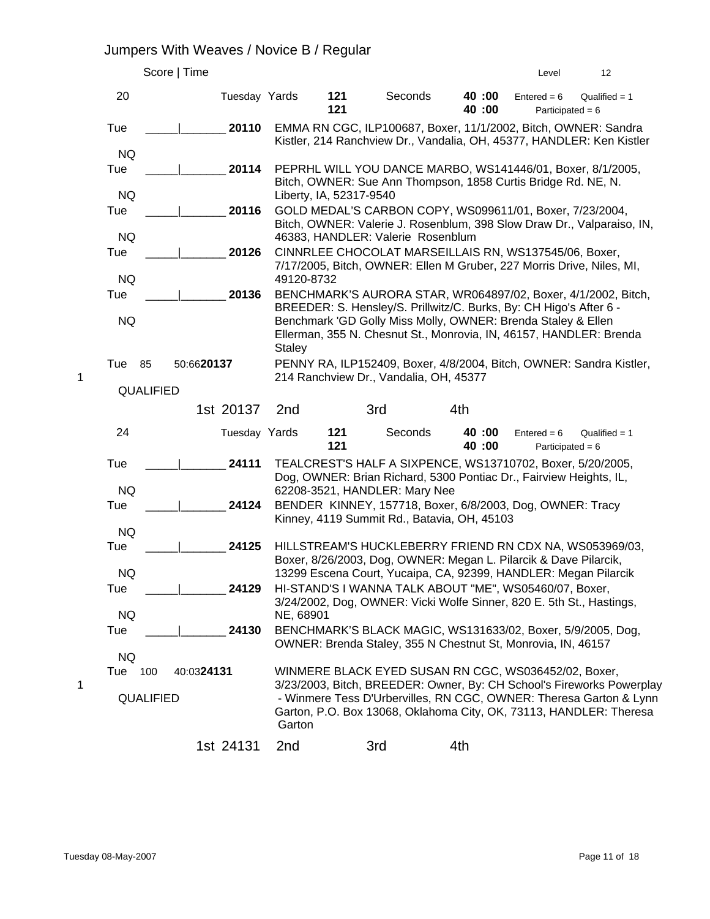# Jumpers With Weaves / Novice B / Regular

|   |                         | Score   Time  |                 |                         |                                                                                                                                    |                | Level                               | 12                                                                                                                                                                                                                |
|---|-------------------------|---------------|-----------------|-------------------------|------------------------------------------------------------------------------------------------------------------------------------|----------------|-------------------------------------|-------------------------------------------------------------------------------------------------------------------------------------------------------------------------------------------------------------------|
|   | 20                      | Tuesday Yards |                 | 121<br>121              | Seconds                                                                                                                            | 40:00<br>40:00 | $Entered = 6$<br>Participated = $6$ | Qualified $= 1$                                                                                                                                                                                                   |
|   | Tue                     | 20110         |                 |                         | EMMA RN CGC, ILP100687, Boxer, 11/1/2002, Bitch, OWNER: Sandra                                                                     |                |                                     |                                                                                                                                                                                                                   |
|   | <b>NQ</b>               |               |                 |                         |                                                                                                                                    |                |                                     | Kistler, 214 Ranchview Dr., Vandalia, OH, 45377, HANDLER: Ken Kistler                                                                                                                                             |
|   | Tue                     | 20114         |                 |                         | PEPRHL WILL YOU DANCE MARBO, WS141446/01, Boxer, 8/1/2005,<br>Bitch, OWNER: Sue Ann Thompson, 1858 Curtis Bridge Rd. NE, N.        |                |                                     |                                                                                                                                                                                                                   |
|   | <b>NQ</b>               |               |                 | Liberty, IA, 52317-9540 |                                                                                                                                    |                |                                     |                                                                                                                                                                                                                   |
|   | Tue                     | 20116         |                 |                         | GOLD MEDAL'S CARBON COPY, WS099611/01, Boxer, 7/23/2004,                                                                           |                |                                     | Bitch, OWNER: Valerie J. Rosenblum, 398 Slow Draw Dr., Valparaiso, IN,                                                                                                                                            |
|   | <b>NQ</b>               |               |                 |                         | 46383, HANDLER: Valerie Rosenblum                                                                                                  |                |                                     |                                                                                                                                                                                                                   |
|   | Tue                     | 20126         |                 |                         | CINNRLEE CHOCOLAT MARSEILLAIS RN, WS137545/06, Boxer,<br>7/17/2005, Bitch, OWNER: Ellen M Gruber, 227 Morris Drive, Niles, MI,     |                |                                     |                                                                                                                                                                                                                   |
|   | <b>NQ</b>               |               | 49120-8732      |                         |                                                                                                                                    |                |                                     |                                                                                                                                                                                                                   |
|   | Tue                     | 20136         |                 |                         | BREEDER: S. Hensley/S. Prillwitz/C. Burks, By: CH Higo's After 6 -                                                                 |                |                                     | BENCHMARK'S AURORA STAR, WR064897/02, Boxer, 4/1/2002, Bitch,                                                                                                                                                     |
|   | <b>NQ</b>               |               | <b>Staley</b>   |                         | Benchmark 'GD Golly Miss Molly, OWNER: Brenda Staley & Ellen<br>Ellerman, 355 N. Chesnut St., Monrovia, IN, 46157, HANDLER: Brenda |                |                                     |                                                                                                                                                                                                                   |
|   | Tue<br>85               | 50:6620137    |                 |                         |                                                                                                                                    |                |                                     | PENNY RA, ILP152409, Boxer, 4/8/2004, Bitch, OWNER: Sandra Kistler,                                                                                                                                               |
| 1 | <b>QUALIFIED</b>        |               |                 |                         | 214 Ranchview Dr., Vandalia, OH, 45377                                                                                             |                |                                     |                                                                                                                                                                                                                   |
|   |                         | 1st 20137     | 2 <sub>nd</sub> |                         | 3rd                                                                                                                                | 4th            |                                     |                                                                                                                                                                                                                   |
|   | 24                      | Tuesday Yards |                 | 121<br>121              | Seconds                                                                                                                            | 40:00<br>40:00 | $Entered = 6$<br>Participated = $6$ | Qualified $= 1$                                                                                                                                                                                                   |
|   | Tue                     | 24111         |                 |                         | TEALCREST'S HALF A SIXPENCE, WS13710702, Boxer, 5/20/2005,<br>Dog, OWNER: Brian Richard, 5300 Pontiac Dr., Fairview Heights, IL,   |                |                                     |                                                                                                                                                                                                                   |
|   | <b>NQ</b>               |               |                 |                         | 62208-3521, HANDLER: Mary Nee                                                                                                      |                |                                     |                                                                                                                                                                                                                   |
|   | Tue                     | 24124         |                 |                         | BENDER KINNEY, 157718, Boxer, 6/8/2003, Dog, OWNER: Tracy<br>Kinney, 4119 Summit Rd., Batavia, OH, 45103                           |                |                                     |                                                                                                                                                                                                                   |
|   | <b>NQ</b><br>Tue        | 24125         |                 |                         | HILLSTREAM'S HUCKLEBERRY FRIEND RN CDX NA, WS053969/03,                                                                            |                |                                     |                                                                                                                                                                                                                   |
|   |                         |               |                 |                         | Boxer, 8/26/2003, Dog, OWNER: Megan L. Pilarcik & Dave Pilarcik,                                                                   |                |                                     |                                                                                                                                                                                                                   |
|   | <b>NQ</b>               |               |                 |                         | 13299 Escena Court, Yucaipa, CA, 92399, HANDLER: Megan Pilarcik                                                                    |                |                                     |                                                                                                                                                                                                                   |
|   | Tue                     | 24129         |                 |                         | HI-STAND'S I WANNA TALK ABOUT "ME", WS05460/07, Boxer,<br>3/24/2002, Dog, OWNER: Vicki Wolfe Sinner, 820 E. 5th St., Hastings,     |                |                                     |                                                                                                                                                                                                                   |
|   | <b>NQ</b>               |               | NE, 68901       |                         |                                                                                                                                    |                |                                     |                                                                                                                                                                                                                   |
|   | Tue                     | 24130         |                 |                         | BENCHMARK'S BLACK MAGIC, WS131633/02, Boxer, 5/9/2005, Dog,<br>OWNER: Brenda Staley, 355 N Chestnut St, Monrovia, IN, 46157        |                |                                     |                                                                                                                                                                                                                   |
|   | <b>NQ</b>               |               |                 |                         |                                                                                                                                    |                |                                     |                                                                                                                                                                                                                   |
| 1 | 100<br>Tue<br>QUALIFIED | 40:0324131    | Garton          |                         | WINMERE BLACK EYED SUSAN RN CGC, WS036452/02, Boxer,                                                                               |                |                                     | 3/23/2003, Bitch, BREEDER: Owner, By: CH School's Fireworks Powerplay<br>- Winmere Tess D'Urbervilles, RN CGC, OWNER: Theresa Garton & Lynn<br>Garton, P.O. Box 13068, Oklahoma City, OK, 73113, HANDLER: Theresa |
|   |                         | 1st 24131     | 2nd             |                         | 3rd                                                                                                                                | 4th            |                                     |                                                                                                                                                                                                                   |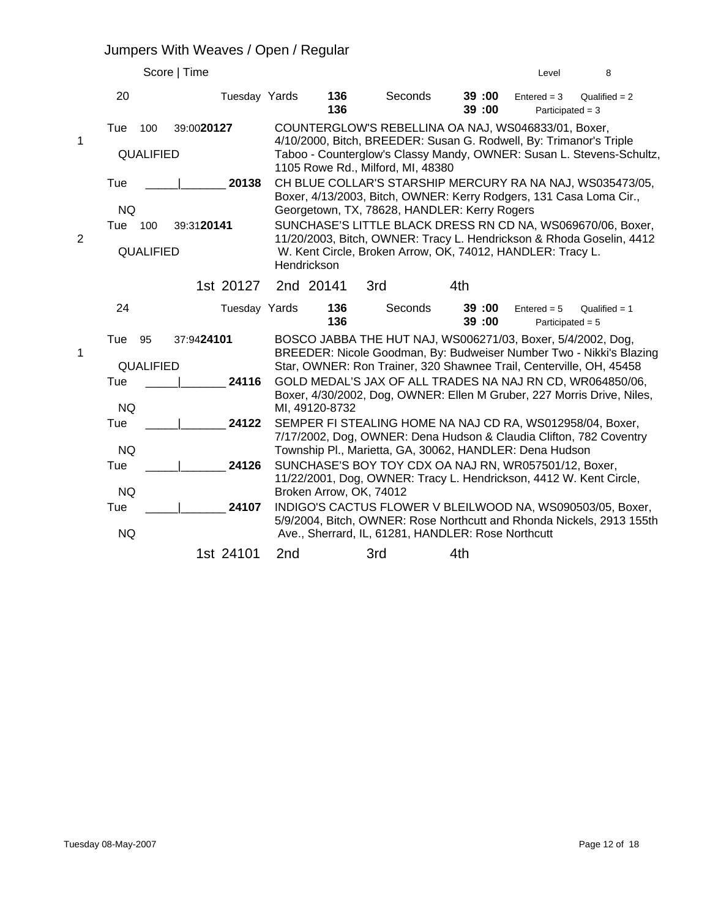#### Jumpers With Weaves / Open / Regular

|                |                         |                        | Score   Time |               |                                                                                                                                                                                        |                         |                                                    |     |                | Level                                                      | 8                                                                                                                                                                                                                                                                      |  |  |
|----------------|-------------------------|------------------------|--------------|---------------|----------------------------------------------------------------------------------------------------------------------------------------------------------------------------------------|-------------------------|----------------------------------------------------|-----|----------------|------------------------------------------------------------|------------------------------------------------------------------------------------------------------------------------------------------------------------------------------------------------------------------------------------------------------------------------|--|--|
|                | 20                      |                        |              | Tuesday Yards |                                                                                                                                                                                        | 136<br>136              | Seconds                                            |     | 39:00<br>39:00 | $Entered = 3$<br>Participated = $3$                        | Qualified $= 2$                                                                                                                                                                                                                                                        |  |  |
| 1              | Tue                     | 100<br>QUALIFIED       | 39:0020127   |               |                                                                                                                                                                                        |                         | 1105 Rowe Rd., Milford, MI, 48380                  |     |                | COUNTERGLOW'S REBELLINA OA NAJ, WS046833/01, Boxer,        | 4/10/2000, Bitch, BREEDER: Susan G. Rodwell, By: Trimanor's Triple<br>Taboo - Counterglow's Classy Mandy, OWNER: Susan L. Stevens-Schultz,                                                                                                                             |  |  |
| $\overline{2}$ | Tue<br><b>NQ</b><br>Tue | 100<br>QUALIFIED       | 39:3120141   | 20138         | Hendrickson                                                                                                                                                                            |                         | Georgetown, TX, 78628, HANDLER: Kerry Rogers       |     |                | W. Kent Circle, Broken Arrow, OK, 74012, HANDLER: Tracy L. | CH BLUE COLLAR'S STARSHIP MERCURY RA NA NAJ, WS035473/05,<br>Boxer, 4/13/2003, Bitch, OWNER: Kerry Rodgers, 131 Casa Loma Cir.,<br>SUNCHASE'S LITTLE BLACK DRESS RN CD NA, WS069670/06, Boxer,<br>11/20/2003, Bitch, OWNER: Tracy L. Hendrickson & Rhoda Goselin, 4412 |  |  |
|                |                         |                        |              | 1st 20127     |                                                                                                                                                                                        | 2nd 20141               | 3rd                                                | 4th |                |                                                            |                                                                                                                                                                                                                                                                        |  |  |
|                | 24                      |                        |              | Tuesday Yards |                                                                                                                                                                                        | 136<br>136              | Seconds                                            |     | 39:00<br>39:00 | $Entered = 5$<br>Participated $= 5$                        | Qualified $= 1$                                                                                                                                                                                                                                                        |  |  |
| 1              | Tue<br>Tue              | 95<br><b>QUALIFIED</b> | 37:9424101   | 24116         |                                                                                                                                                                                        |                         |                                                    |     |                |                                                            | BOSCO JABBA THE HUT NAJ, WS006271/03, Boxer, 5/4/2002, Dog,<br>BREEDER: Nicole Goodman, By: Budweiser Number Two - Nikki's Blazing<br>Star, OWNER: Ron Trainer, 320 Shawnee Trail, Centerville, OH, 45458<br>GOLD MEDAL'S JAX OF ALL TRADES NA NAJ RN CD, WR064850/06, |  |  |
|                | <b>NQ</b>               |                        |              |               |                                                                                                                                                                                        | MI, 49120-8732          |                                                    |     |                |                                                            | Boxer, 4/30/2002, Dog, OWNER: Ellen M Gruber, 227 Morris Drive, Niles,                                                                                                                                                                                                 |  |  |
|                | Tue<br><b>NQ</b>        |                        |              | 24122         |                                                                                                                                                                                        |                         |                                                    |     |                |                                                            | SEMPER FI STEALING HOME NA NAJ CD RA, WS012958/04, Boxer,<br>7/17/2002, Dog, OWNER: Dena Hudson & Claudia Clifton, 782 Coventry                                                                                                                                        |  |  |
|                | Tue                     |                        |              | 24126         | Township Pl., Marietta, GA, 30062, HANDLER: Dena Hudson<br>SUNCHASE'S BOY TOY CDX OA NAJ RN, WR057501/12, Boxer,<br>11/22/2001, Dog, OWNER: Tracy L. Hendrickson, 4412 W. Kent Circle, |                         |                                                    |     |                |                                                            |                                                                                                                                                                                                                                                                        |  |  |
|                | <b>NQ</b>               |                        |              |               |                                                                                                                                                                                        | Broken Arrow, OK, 74012 |                                                    |     |                |                                                            |                                                                                                                                                                                                                                                                        |  |  |
|                | Tue                     |                        |              | 24107         | INDIGO'S CACTUS FLOWER V BLEILWOOD NA, WS090503/05, Boxer,<br>5/9/2004, Bitch, OWNER: Rose Northcutt and Rhonda Nickels, 2913 155th                                                    |                         |                                                    |     |                |                                                            |                                                                                                                                                                                                                                                                        |  |  |
|                | <b>NQ</b>               |                        |              |               |                                                                                                                                                                                        |                         | Ave., Sherrard, IL, 61281, HANDLER: Rose Northcutt |     |                |                                                            |                                                                                                                                                                                                                                                                        |  |  |
|                |                         |                        |              | 1st 24101     | 2 <sub>nd</sub>                                                                                                                                                                        |                         | 3rd                                                | 4th |                |                                                            |                                                                                                                                                                                                                                                                        |  |  |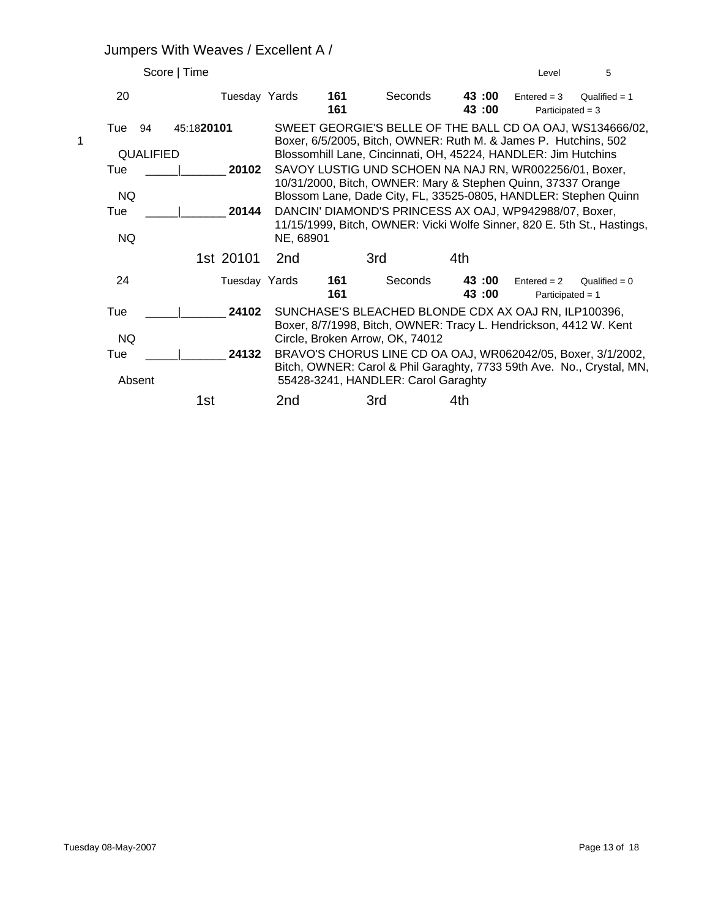# Jumpers With Weaves / Excellent A /

|                             | Score   Time   |                 |                                                                                                                                                                                                                                                                                                                                |                | Level                               | 5               |
|-----------------------------|----------------|-----------------|--------------------------------------------------------------------------------------------------------------------------------------------------------------------------------------------------------------------------------------------------------------------------------------------------------------------------------|----------------|-------------------------------------|-----------------|
| 20                          | Tuesday Yards  | 161<br>161      | Seconds                                                                                                                                                                                                                                                                                                                        | 43:00<br>43:00 | $Entered = 3$<br>Participated $=$ 3 | Qualified $= 1$ |
| Tue<br>94<br>1<br>QUALIFIED | 45:1820101     |                 | SWEET GEORGIE'S BELLE OF THE BALL CD OA OAJ, WS134666/02,<br>Boxer, 6/5/2005, Bitch, OWNER: Ruth M. & James P. Hutchins, 502<br>Blossomhill Lane, Cincinnati, OH, 45224, HANDLER: Jim Hutchins                                                                                                                                 |                |                                     |                 |
| Tue<br>NQ.<br>Tue<br>NQ.    | 20102<br>20144 | NE, 68901       | SAVOY LUSTIG UND SCHOEN NA NAJ RN, WR002256/01, Boxer,<br>10/31/2000, Bitch, OWNER: Mary & Stephen Quinn, 37337 Orange<br>Blossom Lane, Dade City, FL, 33525-0805, HANDLER: Stephen Quinn<br>DANCIN' DIAMOND'S PRINCESS AX OAJ, WP942988/07, Boxer,<br>11/15/1999, Bitch, OWNER: Vicki Wolfe Sinner, 820 E. 5th St., Hastings, |                |                                     |                 |
|                             | 1st 20101      | 2 <sub>nd</sub> | 3rd                                                                                                                                                                                                                                                                                                                            | 4th            |                                     |                 |
| 24                          | Tuesday Yards  | 161<br>161      | Seconds                                                                                                                                                                                                                                                                                                                        | 43:00<br>43:00 | $Entered = 2$<br>Participated = $1$ | Qualified = $0$ |
| Tue<br>NQ                   | 24102          |                 | SUNCHASE'S BLEACHED BLONDE CDX AX OAJ RN, ILP100396,<br>Boxer, 8/7/1998, Bitch, OWNER: Tracy L. Hendrickson, 4412 W. Kent<br>Circle, Broken Arrow, OK, 74012                                                                                                                                                                   |                |                                     |                 |
| Tue<br>Absent               | 24132          |                 | BRAVO'S CHORUS LINE CD OA OAJ, WR062042/05, Boxer, 3/1/2002,<br>Bitch, OWNER: Carol & Phil Garaghty, 7733 59th Ave. No., Crystal, MN,<br>55428-3241, HANDLER: Carol Garaghty                                                                                                                                                   |                |                                     |                 |
|                             | 1st            | 2nd             | 3rd                                                                                                                                                                                                                                                                                                                            | 4th            |                                     |                 |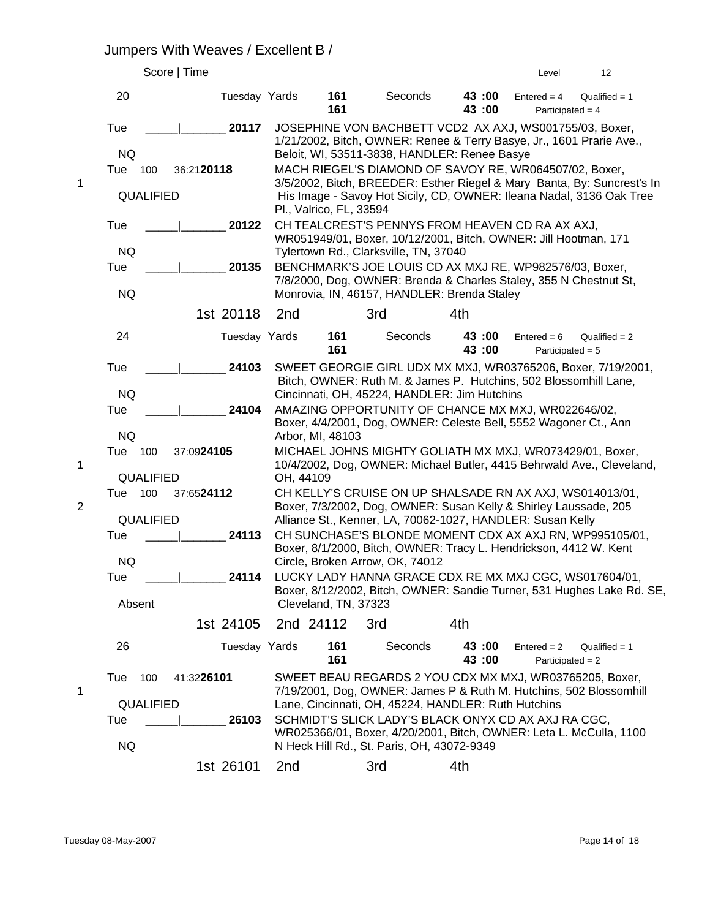#### Jumpers With Weaves / Excellent B /

|                  |                         | Score   Time                                                 |                                                                                                                                                                                                        |                                                                                                                           |                                                                                                                              |                 | Level                               | 12                                                                     |  |
|------------------|-------------------------|--------------------------------------------------------------|--------------------------------------------------------------------------------------------------------------------------------------------------------------------------------------------------------|---------------------------------------------------------------------------------------------------------------------------|------------------------------------------------------------------------------------------------------------------------------|-----------------|-------------------------------------|------------------------------------------------------------------------|--|
|                  | 20                      | Tuesday Yards                                                |                                                                                                                                                                                                        | 161<br>161                                                                                                                | Seconds                                                                                                                      | 43:00<br>43 :00 | $Entered = 4$<br>Participated = $4$ | Qualified $= 1$                                                        |  |
|                  | Tue<br><b>NQ</b>        | 20117                                                        | JOSEPHINE VON BACHBETT VCD2 AX AXJ, WS001755/03, Boxer,<br>1/21/2002, Bitch, OWNER: Renee & Terry Basye, Jr., 1601 Prarie Ave.,<br>Beloit, WI, 53511-3838, HANDLER: Renee Basye                        |                                                                                                                           |                                                                                                                              |                 |                                     |                                                                        |  |
|                  | Tue<br>100              | 36:2120118                                                   |                                                                                                                                                                                                        |                                                                                                                           | MACH RIEGEL'S DIAMOND OF SAVOY RE, WR064507/02, Boxer,                                                                       |                 |                                     |                                                                        |  |
| 1                | QUALIFIED               |                                                              | 3/5/2002, Bitch, BREEDER: Esther Riegel & Mary Banta, By: Suncrest's In<br>His Image - Savoy Hot Sicily, CD, OWNER: Ileana Nadal, 3136 Oak Tree<br>Pl., Valrico, FL, 33594                             |                                                                                                                           |                                                                                                                              |                 |                                     |                                                                        |  |
|                  | Tue                     | 20122                                                        |                                                                                                                                                                                                        |                                                                                                                           | CH TEALCREST'S PENNYS FROM HEAVEN CD RA AX AXJ,<br>WR051949/01, Boxer, 10/12/2001, Bitch, OWNER: Jill Hootman, 171           |                 |                                     |                                                                        |  |
|                  | <b>NQ</b>               |                                                              |                                                                                                                                                                                                        |                                                                                                                           | Tylertown Rd., Clarksville, TN, 37040                                                                                        |                 |                                     |                                                                        |  |
|                  | Tue                     | 20135                                                        |                                                                                                                                                                                                        |                                                                                                                           | BENCHMARK'S JOE LOUIS CD AX MXJ RE, WP982576/03, Boxer,<br>7/8/2000, Dog, OWNER: Brenda & Charles Staley, 355 N Chestnut St, |                 |                                     |                                                                        |  |
|                  | <b>NQ</b>               |                                                              |                                                                                                                                                                                                        |                                                                                                                           | Monrovia, IN, 46157, HANDLER: Brenda Staley                                                                                  |                 |                                     |                                                                        |  |
|                  |                         | 1st 20118                                                    | 2nd                                                                                                                                                                                                    |                                                                                                                           | 3rd                                                                                                                          | 4th             |                                     |                                                                        |  |
|                  | 24                      | Tuesday Yards                                                |                                                                                                                                                                                                        | 161<br>161                                                                                                                | Seconds                                                                                                                      | 43:00<br>43 :00 | $Entered = 6$<br>Participated = $5$ | $Qualified = 2$                                                        |  |
|                  | Tue                     | 24103                                                        |                                                                                                                                                                                                        |                                                                                                                           | Bitch, OWNER: Ruth M. & James P. Hutchins, 502 Blossomhill Lane,                                                             |                 |                                     | SWEET GEORGIE GIRL UDX MX MXJ, WR03765206, Boxer, 7/19/2001,           |  |
|                  | <b>NQ</b>               |                                                              |                                                                                                                                                                                                        |                                                                                                                           | Cincinnati, OH, 45224, HANDLER: Jim Hutchins                                                                                 |                 |                                     |                                                                        |  |
|                  | Tue                     | 24104                                                        | AMAZING OPPORTUNITY OF CHANCE MX MXJ, WR022646/02,<br>Boxer, 4/4/2001, Dog, OWNER: Celeste Bell, 5552 Wagoner Ct., Ann<br>Arbor, MI, 48103<br>MICHAEL JOHNS MIGHTY GOLIATH MX MXJ, WR073429/01, Boxer, |                                                                                                                           |                                                                                                                              |                 |                                     |                                                                        |  |
|                  | <b>NQ</b>               |                                                              |                                                                                                                                                                                                        |                                                                                                                           |                                                                                                                              |                 |                                     |                                                                        |  |
| 1                | 100<br>Tue<br>QUALIFIED | 37:0924105                                                   | OH, 44109                                                                                                                                                                                              |                                                                                                                           |                                                                                                                              |                 |                                     | 10/4/2002, Dog, OWNER: Michael Butler, 4415 Behrwald Ave., Cleveland,  |  |
|                  | Tue 100                 | 37:6524112                                                   |                                                                                                                                                                                                        |                                                                                                                           | CH KELLY'S CRUISE ON UP SHALSADE RN AX AXJ, WS014013/01,                                                                     |                 |                                     |                                                                        |  |
| $\boldsymbol{2}$ |                         |                                                              |                                                                                                                                                                                                        |                                                                                                                           | Boxer, 7/3/2002, Dog, OWNER: Susan Kelly & Shirley Laussade, 205                                                             |                 |                                     |                                                                        |  |
|                  | QUALIFIED<br>Tue        | 24113                                                        |                                                                                                                                                                                                        |                                                                                                                           | Alliance St., Kenner, LA, 70062-1027, HANDLER: Susan Kelly                                                                   |                 |                                     |                                                                        |  |
|                  |                         |                                                              | CH SUNCHASE'S BLONDE MOMENT CDX AX AXJ RN, WP995105/01,<br>Boxer, 8/1/2000, Bitch, OWNER: Tracy L. Hendrickson, 4412 W. Kent                                                                           |                                                                                                                           |                                                                                                                              |                 |                                     |                                                                        |  |
|                  | NQ                      |                                                              |                                                                                                                                                                                                        |                                                                                                                           | Circle, Broken Arrow, OK, 74012                                                                                              |                 |                                     |                                                                        |  |
|                  | Tue<br>Absent           | 24114                                                        |                                                                                                                                                                                                        | Cleveland, TN, 37323                                                                                                      | LUCKY LADY HANNA GRACE CDX RE MX MXJ CGC, WS017604/01,                                                                       |                 |                                     | Boxer, 8/12/2002, Bitch, OWNER: Sandie Turner, 531 Hughes Lake Rd. SE, |  |
|                  |                         | 1st 24105                                                    |                                                                                                                                                                                                        | 2nd 24112                                                                                                                 | 3rd                                                                                                                          | 4th             |                                     |                                                                        |  |
|                  | 26                      | Tuesday Yards                                                |                                                                                                                                                                                                        | 161<br>161                                                                                                                | Seconds                                                                                                                      | 43:00<br>43 :00 | $Entered = 2$<br>Participated = $2$ | Qualified $= 1$                                                        |  |
|                  | Tue<br>100              | 41:3226101                                                   |                                                                                                                                                                                                        |                                                                                                                           | SWEET BEAU REGARDS 2 YOU CDX MX MXJ, WR03765205, Boxer,                                                                      |                 |                                     |                                                                        |  |
| 1                | QUALIFIED               |                                                              |                                                                                                                                                                                                        | 7/19/2001, Dog, OWNER: James P & Ruth M. Hutchins, 502 Blossomhill<br>Lane, Cincinnati, OH, 45224, HANDLER: Ruth Hutchins |                                                                                                                              |                 |                                     |                                                                        |  |
|                  | Tue                     | SCHMIDT'S SLICK LADY'S BLACK ONYX CD AX AXJ RA CGC,<br>26103 |                                                                                                                                                                                                        |                                                                                                                           |                                                                                                                              |                 |                                     |                                                                        |  |
|                  | NQ                      |                                                              |                                                                                                                                                                                                        |                                                                                                                           | WR025366/01, Boxer, 4/20/2001, Bitch, OWNER: Leta L. McCulla, 1100<br>N Heck Hill Rd., St. Paris, OH, 43072-9349             |                 |                                     |                                                                        |  |
|                  |                         | 1st 26101                                                    | 2 <sub>nd</sub>                                                                                                                                                                                        |                                                                                                                           | 3rd                                                                                                                          | 4th             |                                     |                                                                        |  |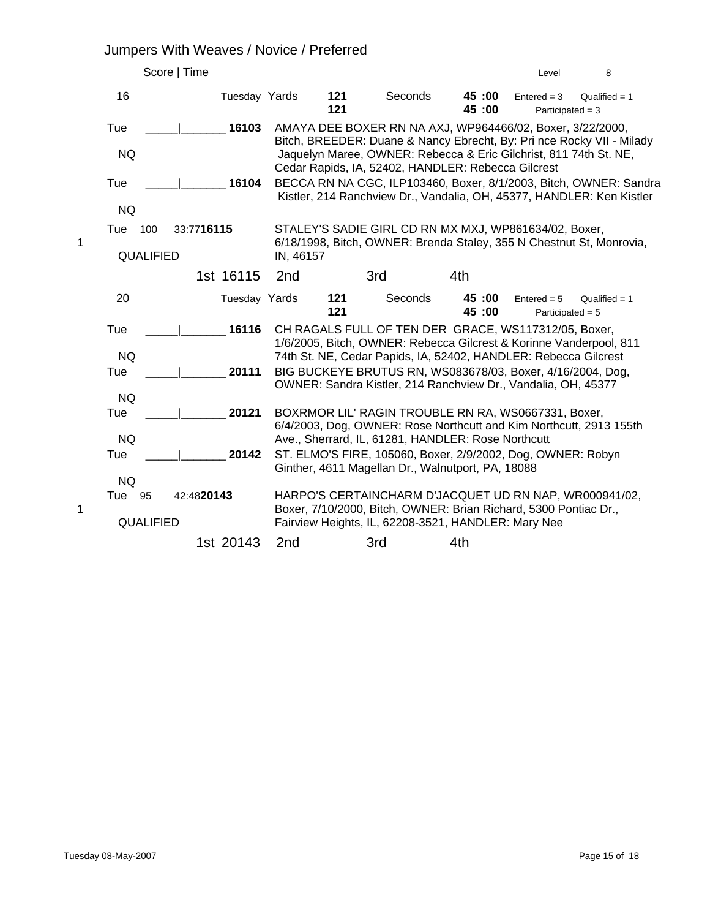# Jumpers With Weaves / Novice / Preferred

|   | Score   Time     |               |                 |              |                                                                                                                               |                 | Level                               | 8                                                                                                                                          |
|---|------------------|---------------|-----------------|--------------|-------------------------------------------------------------------------------------------------------------------------------|-----------------|-------------------------------------|--------------------------------------------------------------------------------------------------------------------------------------------|
|   | 16               | Tuesday Yards |                 | 121<br>121   | Seconds                                                                                                                       | 45:00<br>45 :00 | $Entered = 3$<br>Participated = $3$ | Qualified $= 1$                                                                                                                            |
|   | Tue              | 16103         |                 |              | AMAYA DEE BOXER RN NA AXJ, WP964466/02, Boxer, 3/22/2000,                                                                     |                 |                                     | Bitch, BREEDER: Duane & Nancy Ebrecht, By: Pri nce Rocky VII - Milady                                                                      |
|   | <b>NQ</b>        |               |                 |              | Jaquelyn Maree, OWNER: Rebecca & Eric Gilchrist, 811 74th St. NE,<br>Cedar Rapids, IA, 52402, HANDLER: Rebecca Gilcrest       |                 |                                     |                                                                                                                                            |
|   | Tue              | 16104         |                 |              |                                                                                                                               |                 |                                     | BECCA RN NA CGC, ILP103460, Boxer, 8/1/2003, Bitch, OWNER: Sandra<br>Kistler, 214 Ranchview Dr., Vandalia, OH, 45377, HANDLER: Ken Kistler |
|   | <b>NQ</b>        |               |                 |              |                                                                                                                               |                 |                                     |                                                                                                                                            |
| 1 | Tue<br>100       | 33:7716115    |                 |              | STALEY'S SADIE GIRL CD RN MX MXJ, WP861634/02, Boxer,<br>6/18/1998, Bitch, OWNER: Brenda Staley, 355 N Chestnut St, Monrovia, |                 |                                     |                                                                                                                                            |
|   | <b>QUALIFIED</b> |               | IN, 46157       |              |                                                                                                                               |                 |                                     |                                                                                                                                            |
|   |                  | 1st 16115     | 2 <sub>nd</sub> |              | 3rd                                                                                                                           | 4th             |                                     |                                                                                                                                            |
|   | 20               | Tuesday Yards |                 | 121<br>$121$ | Seconds                                                                                                                       | 45:00<br>45:00  | $Entered = 5$<br>Participated $= 5$ | Qualified $= 1$                                                                                                                            |
|   | Tue              | 16116         |                 |              | CH RAGALS FULL OF TEN DER GRACE, WS117312/05, Boxer,<br>1/6/2005, Bitch, OWNER: Rebecca Gilcrest & Korinne Vanderpool, 811    |                 |                                     |                                                                                                                                            |
|   | <b>NQ</b>        |               |                 |              | 74th St. NE, Cedar Papids, IA, 52402, HANDLER: Rebecca Gilcrest                                                               |                 |                                     |                                                                                                                                            |
|   | Tue              | 20111         |                 |              | BIG BUCKEYE BRUTUS RN, WS083678/03, Boxer, 4/16/2004, Dog,<br>OWNER: Sandra Kistler, 214 Ranchview Dr., Vandalia, OH, 45377   |                 |                                     |                                                                                                                                            |
|   | <b>NQ</b>        |               |                 |              |                                                                                                                               |                 |                                     |                                                                                                                                            |
|   | Tue              | 20121         |                 |              | BOXRMOR LIL' RAGIN TROUBLE RN RA, WS0667331, Boxer,<br>6/4/2003, Dog, OWNER: Rose Northcutt and Kim Northcutt, 2913 155th     |                 |                                     |                                                                                                                                            |
|   | <b>NQ</b>        |               |                 |              | Ave., Sherrard, IL, 61281, HANDLER: Rose Northcutt                                                                            |                 |                                     |                                                                                                                                            |
|   | Tue              | 20142         |                 |              | ST. ELMO'S FIRE, 105060, Boxer, 2/9/2002, Dog, OWNER: Robyn<br>Ginther, 4611 Magellan Dr., Walnutport, PA, 18088              |                 |                                     |                                                                                                                                            |
|   | <b>NQ</b>        |               |                 |              |                                                                                                                               |                 |                                     |                                                                                                                                            |
| 1 | Tue<br>95        | 42:4820143    |                 |              | HARPO'S CERTAINCHARM D'JACQUET UD RN NAP, WR000941/02,<br>Boxer, 7/10/2000, Bitch, OWNER: Brian Richard, 5300 Pontiac Dr.,    |                 |                                     |                                                                                                                                            |
|   | QUALIFIED        |               |                 |              | Fairview Heights, IL, 62208-3521, HANDLER: Mary Nee                                                                           |                 |                                     |                                                                                                                                            |
|   |                  | 1st 20143     | 2 <sub>nd</sub> |              | 3rd                                                                                                                           | 4th             |                                     |                                                                                                                                            |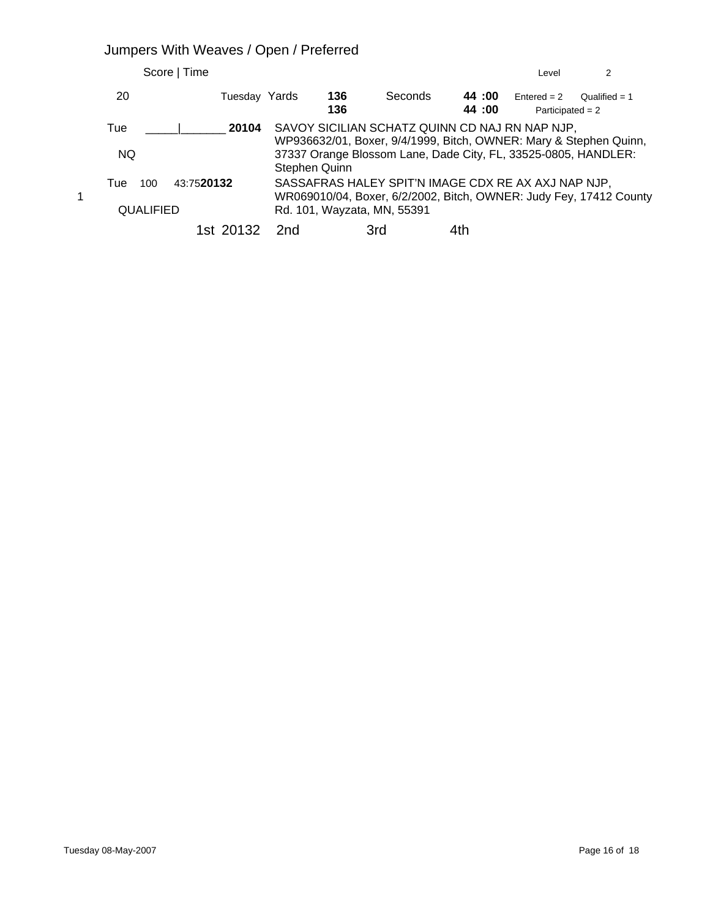# Jumpers With Weaves / Open / Preferred

| Score   Time                                 |               |                             |     |         |                | Level                                                                                                            | 2                                                                  |
|----------------------------------------------|---------------|-----------------------------|-----|---------|----------------|------------------------------------------------------------------------------------------------------------------|--------------------------------------------------------------------|
| 20                                           | Tuesday Yards | 136                         | 136 | Seconds | 44:00<br>44:00 | $Entered = 2$<br>Participated = $2$                                                                              | Oualified = $1$                                                    |
| Tue<br><b>NQ</b>                             | 20104         | Stephen Quinn               |     |         |                | SAVOY SICILIAN SCHATZ QUINN CD NAJ RN NAP NJP,<br>37337 Orange Blossom Lane, Dade City, FL, 33525-0805, HANDLER: | WP936632/01, Boxer, 9/4/1999, Bitch, OWNER: Mary & Stephen Quinn,  |
| 43:7520132<br>Tue<br>100<br><b>QUALIFIED</b> |               | Rd. 101, Wayzata, MN, 55391 |     |         |                | SASSAFRAS HALEY SPIT'N IMAGE CDX RE AX AXJ NAP NJP,                                                              | WR069010/04, Boxer, 6/2/2002, Bitch, OWNER: Judy Fey, 17412 County |
|                                              | 1st 20132     | 2nd                         | 3rd |         |                |                                                                                                                  |                                                                    |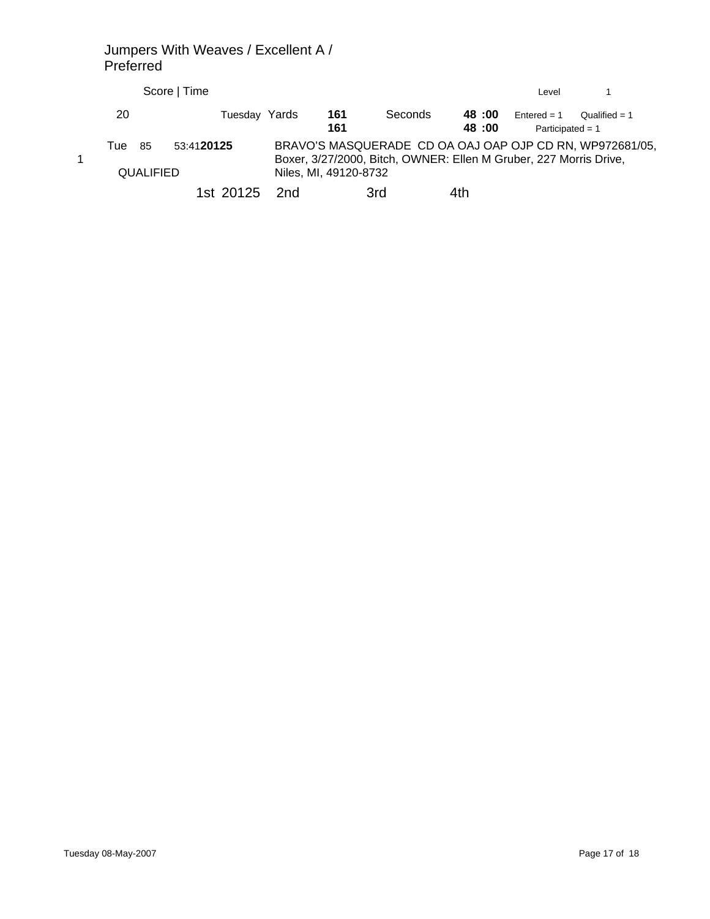#### Jumpers With Weaves / Excellent A / Preferred

|      |                         | Score   Time |               |                       |            |         |     |                | Level                                                                                                                         |                 |  |
|------|-------------------------|--------------|---------------|-----------------------|------------|---------|-----|----------------|-------------------------------------------------------------------------------------------------------------------------------|-----------------|--|
| 20   |                         |              | Tuesday Yards |                       | 161<br>161 | Seconds |     | 48:00<br>48:00 | $Fntered = 1$<br>Participated = $1$                                                                                           | Oualified $= 1$ |  |
| Tuel | -85<br><b>QUALIFIED</b> | 53:4120125   |               | Niles, MI, 49120-8732 |            |         |     |                | BRAVO'S MASQUERADE CD OA OAJ OAP OJP CD RN, WP972681/05,<br>Boxer, 3/27/2000, Bitch, OWNER: Ellen M Gruber, 227 Morris Drive, |                 |  |
|      |                         |              | 1st 20125 2nd |                       |            | 3rd     | 4th |                |                                                                                                                               |                 |  |